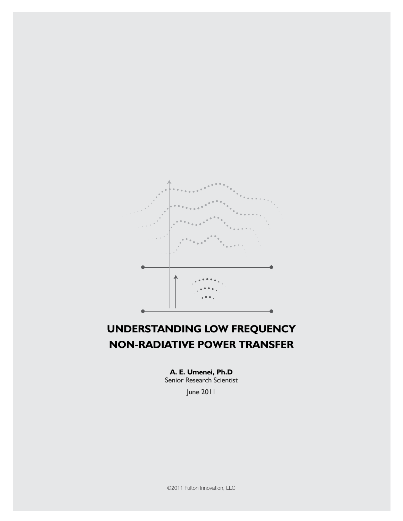

# **UNDERSTANDING Low frequency non-radiative power transfer**

**A. E. Umenei, Ph.D**

Senior Research Scientist

June 2011

©2011 Fulton Innovation, LLC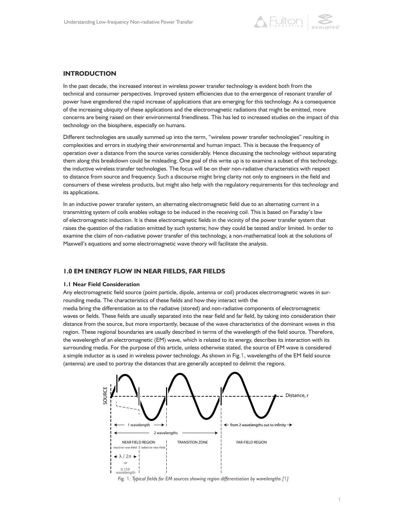

## **INTRODUCTION**

In the past decade, the increased interest in wireless power transfer technology is evident both from the technical and consumer perspectives. Improved system efficiencies due to the emergence of resonant transfer of power have engendered the rapid increase of applications that are emerging for this technology. As a consequence of the increasing ubiquity of these applications and the electromagnetic radiations that might be emitted, more concerns are being raised on their environmental friendliness. This has led to increased studies on the impact of this technology on the biosphere, especially on humans.

Different technologies are usually summed up into the term, "wireless power transfer technologies" resulting in complexities and errors in studying their environmental and human impact. This is because the frequency of operation over a distance from the source varies considerably. Hence discussing the technology without separating them along this breakdown could be misleading. One goal of this write up is to examine a subset of this technology, the inductive wireless transfer technologies. The focus will be on their non-radiative characteristics with respect to distance from source and frequency. Such a discourse might bring clarity not only to engineers in the field and consumers of these wireless products, but might also help with the regulatory requirements for this technology and its applications.

In an inductive power transfer system, an alternating electromagnetic field due to an alternating current in a transmitting system of coils enables voltage to be induced in the receiving coil. This is based on Faraday's law of electromagnetic induction. It is these electromagnetic fields in the vicinity of the power transfer system that raises the question of the radiation emitted by such systems; how they could be tested and/or limited. In order to examine the claim of non-radiative power transfer of this technology, a non-mathematical look at the solutions of Maxwell's equations and some electromagnetic wave theory will facilitate the analysis.

## **1.0 EM ENERGY FLOW IN NEAR FIELDS, FAR FIELDS**

#### **1.1 Near Field Consideration**

Any electromagnetic field source (point particle, dipole, antenna or coil) produces electromagnetic waves in surrounding media. The characteristics of these fields and how they interact with the

media bring the differentiation as to the radiative (stored) and non-radiative components of electromagnetic waves or fields. These fields are usually separated into the near field and far field, by taking into consideration their distance from the source, but more importantly, because of the wave characteristics of the dominant waves in this region. These regional boundaries are usually described in terms of the wavelength of the field source. Therefore, the wavelength of an electromagnetic (EM) wave, which is related to its energy, describes its interaction with its surrounding media. For the purpose of this article, unless otherwise stated, the source of EM wave is considered a simple inductor as is used in wireless power technology. As shown in Fig.1, wavelengths of the EM field source (antenna) are used to portray the distances that are generally accepted to delimit the regions.



*Fig.* 1*: Typical fields for EM sources showing region differentiation by wavelengths [*1*]*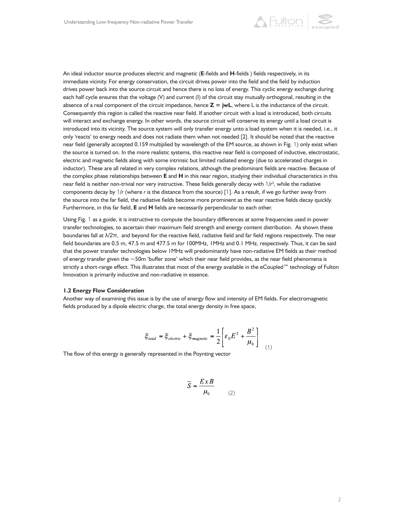

An ideal inductor source produces electric and magnetic (**E**-fields and **H**-fields ) fields respectively, in its immediate vicinity. For energy conservation, the circuit drives power into the field and the field by induction drives power back into the source circuit and hence there is no loss of energy. This cyclic energy exchange during each half cycle ensures that the voltage (V) and current (I) of the circuit stay mutually orthogonal, resulting in the absence of a real component of the circuit impedance, hence **Z = jwL**, where L is the inductance of the circuit. Consequently this region is called the reactive near field. If another circuit with a load is introduced, both circuits will interact and exchange energy. In other words, the source circuit will conserve its energy until a load circuit is introduced into its vicinity. The source system will only transfer energy unto a load system when it is needed, i.e., it only 'reacts' to energy needs and does not radiate them when not needed [2]. It should be noted that the reactive near field (generally accepted 0.159 multiplied by wavelength of the EM source, as shown in Fig. 1) only exist when the source is turned on. In the more realistic systems, this reactive near field is composed of inductive, electrostatic, electric and magnetic fields along with some intrinsic but limited radiated energy (due to accelerated charges in inductor). These are all related in very complex relations, although the predominant fields are reactive. Because of the complex phase relationships between **E** and **H** in this near region, studying their individual characteristics in this near field is neither non-trivial nor very instructive. These fields generally decay with  $1/r^2$ , while the radiative components decay by 1/*r* (where *r* is the distance from the source) [1]. As a result, if we go further away from the source into the far field, the radiative fields become more prominent as the near reactive fields decay quickly. Furthermore, in this far field, **E** and **H** fields are necessarily perpendicular to each other.

Using Fig. 1 as a guide, it is instructive to compute the boundary differences at some frequencies used in power transfer technologies, to ascertain their maximum field strength and energy content distribution. As shown these boundaries fall at  $\lambda/2\pi$ , and beyond for the reactive field, radiative field and far field regions respectively. The near field boundaries are 0.5 m, 47.5 m and 477.5 m for 100MHz, 1MHz and 0.1 MHz, respectively. Thus, it can be said that the power transfer technologies below 1MHz will predominantly have non-radiative EM fields as their method of energy transfer given the  $\sim$ 50m 'buffer zone' which their near field provides, as the near field phenomena is strictly a short-range effect. This illustrates that most of the energy available in the eCoupled™ technology of Fulton Innovation is primarily inductive and non-radiative in essence.

#### **1.2 Energy Flow Consideration**

Another way of examining this issue is by the use of energy flow and intensity of EM fields. For electromagnetic fields produced by a dipole electric charge, the total energy density in free space,

$$
\xi_{total} = \xi_{electric} + \xi_{magnetic} = \frac{1}{2} \left[ \varepsilon_0 E^2 + \frac{B^2}{\mu_0} \right]
$$
 (1)

The flow of this energy is generally represented in the Poynting vector

$$
\overline{S} = \frac{ExB}{\mu_0} \tag{2}
$$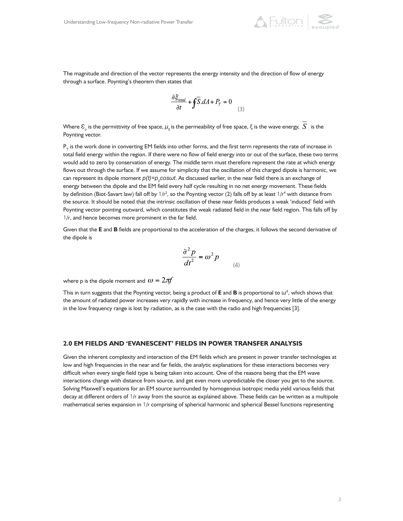

The magnitude and direction of the vector represents the energy intensity and the direction of flow of energy through a surface. Poynting's theorem then states that

$$
\frac{\partial \xi_{total}}{\partial t} + \oint \overline{S} \cdot dA + P_T = 0
$$
 (3)

Where  $\mathcal{E}_\circ$  is the permittivity of free space,  $\mu_\circ$  is the permeability of free space,  $\xi$  is the wave energy,  $|S|$  is the Poynting vector.

 $P<sub>T</sub>$  is the work done in converting EM fields into other forms, and the first term represents the rate of increase in total field energy within the region. If there were no flow of field energy into or out of the surface, these two terms would add to zero by conservation of energy. The middle term must therefore represent the rate at which energy flows out through the surface. If we assume for simplicity that the oscillation of this charged dipole is harmonic, we can represent its dipole moment  $p(t)$ = $p_{_0}$ co*swt*. As discussed earlier, in the near field there is an exchange of energy between the dipole and the EM field every half cycle resulting in no net energy movement. These fields by definition (Biot-Savart law) fall off by  $1/r^2$ , so the Poynting vector (2) falls off by at least  $1/r^4$  with distance from the source. It should be noted that the intrinsic oscillation of these near fields produces a weak 'induced' field with Poynting vector pointing outward, which constitutes the weak radiated field in the near field region. This falls off by 1/*r*, and hence becomes more prominent in the far field.

Given that the **E** and **B** fields are proportional to the acceleration of the charges, it follows the second derivative of the dipole is

$$
\frac{\partial^2 p}{dt^2} = \omega^2 p
$$

(4)

where p is the dipole moment and  $\omega = 2\pi f$ 

This in turn suggests that the Poynting vector, being a product of  $E$  and  $B$  is proportional to  $\omega^4$ , which shows that the amount of radiated power increases very rapidly with increase in frequency, and hence very little of the energy in the low frequency range is lost by radiation, as is the case with the radio and high frequencies [3].

### **2.0 EM FIELDS AND 'EVANESCENT' FIELDS IN POWER TRANSFER ANALYSIS**

Given the inherent complexity and interaction of the EM fields which are present in power transfer technologies at low and high frequencies in the near and far fields, the analytic explanations for these interactions becomes very difficult when every single field type is being taken into account. One of the reasons being that the EM wave interactions change with distance from source, and get even more unpredictable the closer you get to the source. Solving Maxwell's equations for an EM source surrounded by homogenous isotropic media yield various fields that decay at different orders of 1/*r* away from the source as explained above. These fields can be written as a multipole mathematical series expansion in 1/*r* comprising of spherical harmonic and spherical Bessel functions representing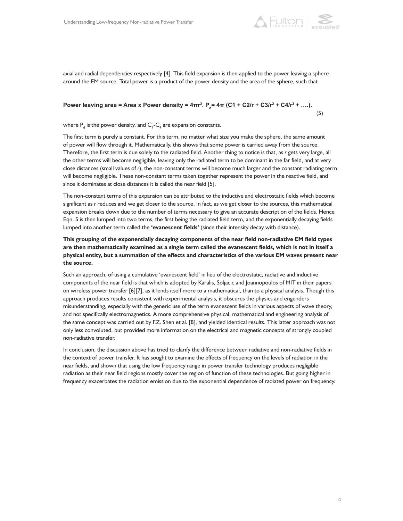

axial and radial dependencies respectively [4]. This field expansion is then applied to the power leaving a sphere around the EM source. Total power is a product of the power density and the area of the sphere, such that

# **Power leaving area = Area x Power density = 4πr². P<sub>a</sub>= 4π (C1 + C2/r + C3/r² + C4/r² + ….).**  $(5)$

where  $\mathsf{P}_{_{\sf d}}$  is the power density, and  $\mathsf{C}_{_{\sf l}}\text{-}\mathsf{C}_{_{\sf 4}}$  are expansion constants.

The first term is purely a constant. For this term, no matter what size you make the sphere, the same amount of power will flow through it. Mathematically, this shows that some power is carried away from the source. Therefore, the first term is due solely to the radiated field. Another thing to notice is that, as *r* gets very large, all the other terms will become negligible, leaving only the radiated term to be dominant in the far field, and at very close distances (small values of *r*), the non-constant terms will become much larger and the constant radiating term will become negligible. These non-constant terms taken together represent the power in the reactive field, and since it dominates at close distances it is called the near field [5].

The non-constant terms of this expansion can be attributed to the inductive and electrostatic fields which become significant as *r* reduces and we get closer to the source. In fact, as we get closer to the sources, this mathematical expansion breaks down due to the number of terms necessary to give an accurate description of the fields. Hence Eqn. 5 is then lumped into two terms, the first being the radiated field term, and the exponentially decaying fields lumped into another term called the **'evanescent fields'** (since their intensity decay with distance).

# **This grouping of the exponentially decaying components of the near field non-radiative EM field types are then mathematically examined as a single term called the evanescent fields, which is not in itself a physical entity, but a summation of the effects and characteristics of the various EM waves present near the source.**

Such an approach, of using a cumulative 'evanescent field' in lieu of the electrostatic, radiative and inductive components of the near field is that which is adopted by Karalis, Soljacic and Joannopoulos of MIT in their papers on wireless power transfer [6][7], as it lends itself more to a mathematical, than to a physical analysis. Though this approach produces results consistent with experimental analysis, it obscures the physics and engenders misunderstanding, especially with the generic use of the term evanescent fields in various aspects of wave theory, and not specifically electromagnetics. A more comprehensive physical, mathematical and engineering analysis of the same concept was carried out by F.Z. Shen et al. [8], and yielded identical results. This latter approach was not only less convoluted, but provided more information on the electrical and magnetic concepts of strongly coupled non-radiative transfer.

In conclusion, the discussion above has tried to clarify the difference between radiative and non-radiative fields in the context of power transfer. It has sought to examine the effects of frequency on the levels of radiation in the near fields, and shown that using the low frequency range in power transfer technology produces negligible radiation as their near field regions mostly cover the region of function of these technologies. But going higher in frequency exacerbates the radiation emission due to the exponential dependence of radiated power on frequency.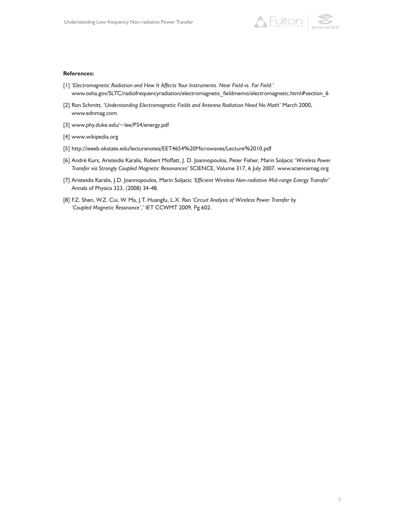

#### **References:**

- [1] '*Electromagnetic Radiation and How It Affects Your Instruments. Near Field vs. Far Field.*' www.osha.gov/SLTC/radiofrequencyradiation/electromagnetic\_fieldmemo/electromagnetic.html#section\_6
- [2] Ron Schmitt, '*Understanding Electromagnetic Fields and Antenna Radiation Need No Math*' March 2000, www.ednmag.com.
- [3] www.phy.duke.edu/~lee/P54/energy.pdf
- [4] www.wikipedia.org
- [5] http://ieeeb.okstate.edu/lecturenotes/EET4654%20Microwaves/Lecture%2010.pdf
- [6] André Kurs, Aristeidis Karalis, Robert Moffatt, J. D. Joannopoulos, Peter Fisher, Marin Soljacic '*Wireless Power Transfer via Strongly Coupled Magnetic Resonances*' SCIENCE, Volume 317, 6 July 2007. www.sciencemag.org
- [7] Aristeidis Karalis, J.D. Joannopoulos, Marin Soljacic '*Efficient Wireless Non-radiative Mid-range Energy Transfer*' Annals of Physics 323, (2008) 34-48.
- [8] F.Z. Shen, W.Z. Cui, W. Ma, J.T. Huangfu, L.X. Ran '*Circuit Analysis of Wireless Power Transfer by 'Coupled Magnetic Resonance'*,' IET CCWMT 2009, Pg 602.